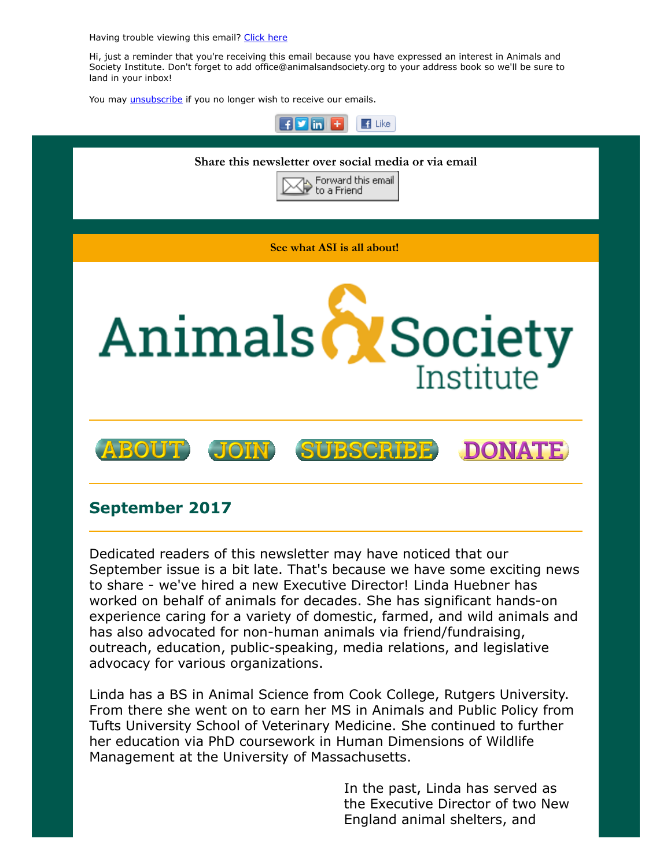Having trouble viewing this email? [Click](http://campaign.r20.constantcontact.com/render?ca=6dfeb2b3-f2a0-4bb2-86a4-e8b940c83843&preview=true&m=1117082078075&id=preview) here

Hi, just a reminder that you're receiving this email because you have expressed an interest in Animals and Society Institute. Don't forget to add office@animalsandsociety.org to your address book so we'll be sure to land in your inbox!

You may *[unsubscribe](https://visitor.constantcontact.com/do?p=un&mse=0016u8cGCOk4ijLe6EYFlbq8UmlFeKV0nFU&t=001dLLiOn2BX1KXOBljYmqfBQ%3D%3D&id=001b-xBWU3VMkcM8dYr8taaWXSJRe02Iknl&llr=88spulqab)* if you no longer wish to receive our emails.



## September 2017

Dedicated readers of this newsletter may have noticed that our September issue is a bit late. That's because we have some exciting news to share - we've hired a new Executive Director! Linda Huebner has worked on behalf of animals for decades. She has significant hands-on experience caring for a variety of domestic, farmed, and wild animals and has also advocated for non-human animals via friend/fundraising, outreach, education, public-speaking, media relations, and legislative advocacy for various organizations.

Linda has a BS in Animal Science from Cook College, Rutgers University. From there she went on to earn her MS in Animals and Public Policy from Tufts University School of Veterinary Medicine. She continued to further her education via PhD coursework in Human Dimensions of Wildlife Management at the University of Massachusetts.

> In the past, Linda has served as the Executive Director of two New England animal shelters, and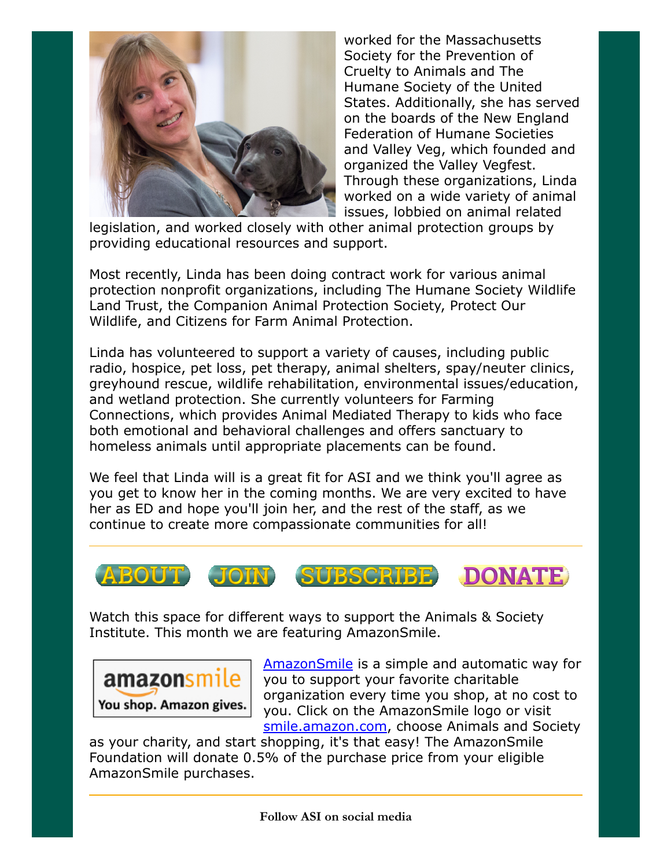

worked for the Massachusetts Society for the Prevention of Cruelty to Animals and The Humane Society of the United States. Additionally, she has served on the boards of the New England Federation of Humane Societies and Valley Veg, which founded and organized the Valley Vegfest. Through these organizations, Linda worked on a wide variety of animal issues, lobbied on animal related

legislation, and worked closely with other animal protection groups by providing educational resources and support.

Most recently, Linda has been doing contract work for various animal protection nonprofit organizations, including The Humane Society Wildlife Land Trust, the Companion Animal Protection Society, Protect Our Wildlife, and Citizens for Farm Animal Protection.

Linda has volunteered to support a variety of causes, including public radio, hospice, pet loss, pet therapy, animal shelters, spay/neuter clinics, greyhound rescue, wildlife rehabilitation, environmental issues/education, and wetland protection. She currently volunteers for Farming Connections, which provides Animal Mediated Therapy to kids who face both emotional and behavioral challenges and offers sanctuary to homeless animals until appropriate placements can be found.

We feel that Linda will is a great fit for ASI and we think you'll agree as you get to know her in the coming months. We are very excited to have her as ED and hope you'll join her, and the rest of the staff, as we continue to create more compassionate communities for all!



Watch this space for different ways to support the Animals & Society Institute. This month we are featuring AmazonSmile.



[AmazonSmile](http://smile.amazon.com/ch/22-2527462) is a simple and automatic way for you to support your favorite charitable organization every time you shop, at no cost to you. Click on the AmazonSmile logo or visit [smile.amazon.com](http://smile.amazon.com/ch/22-2527462), choose Animals and Society

as your charity, and start shopping, it's that easy! The AmazonSmile Foundation will donate 0.5% of the purchase price from your eligible AmazonSmile purchases.